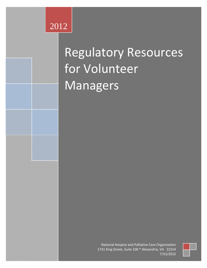# 2012

# Regulatory Resources for Volunteer Managers

National Hospice and Palliative Care Organization 1731 King Street, Suite 100 \* Alexandria, VA 22314 7/31/2012

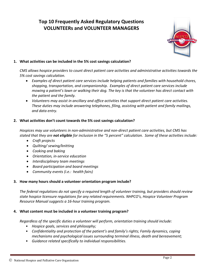# **Top 10 Frequently Asked Regulatory Questions VOLUNTEERs and VOLUNTEER MANAGERS**



# **1. What activities can be included in the 5% cost savings calculation?**

*CMS allows hospice providers to count direct patient care activities and administrative activities towards the 5% cost savings calculation.* 

- *Examples of direct patient care services include helping patients and families with household chores, shopping, transportation, and companionship. Examples of direct patient care services include mowing a patient's lawn or walking their dog. The key is that the volunteer has direct contact with the patient and the family.*
- *Volunteers may assist in ancillary and office activities that support direct patient care activities. These duties may include answering telephones, filing, assisting with patient and family mailings, and data entry.*

# **2. What activities don't count towards the 5% cost savings calculation?**

*Hospices may use volunteers in non-administrative and non-direct patient care activities, but CMS has stated that they are not eligible for inclusion in the "5 percent" calculation. Some of these activities include:*

- *Craft projects*
- *Quilting/ sewing/knitting*
- *Cooking and baking*
- *Orientation, in-service education*
- *Interdisciplinary team meetings*
- *Board participation and board meetings*
- *Community events (i.e.: health fairs)*

# **3. How many hours should a volunteer orientation program include?**

*The federal regulations do not specify a required length of volunteer training, but providers should review state hospice licensure regulations for any related requirements. NHPCO's, Hospice Volunteer Program Resource Manual suggests a 16-hour training program.*

# **4. What content must be included in a volunteer training program?**

*Regardless of the specific duties a volunteer will perform, orientation training should include:*

- *Hospice goals, services and philosophy;*
- *Confidentiality and protection of the patient's and family's rights; Family dynamics, coping mechanisms and psychological issues surrounding terminal illness, death and bereavement;*
- *Guidance related specifically to individual responsibilities.*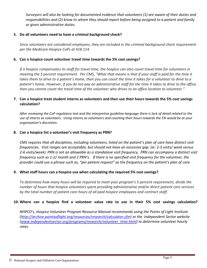*Surveyors will also be looking for documented evidence that volunteers (1) are aware of their duties and responsibilities and (2) know to whom they should report before being assigned to a patient and family or given administrative duties.*

# **5. Do all volunteers need to have a criminal background check?**

*Since volunteers are considered employees, they are included in the criminal background check requirement per the Medicare Hospice CoPs at 418.114.*

# **6. Can a hospice count volunteer travel time towards the 5% cost savings?**

*If a hospice compensates its staff for travel time, the hospice can also count travel time for volunteers in meeting the 5 percent requirement. Per CMS, "What that means is that if your staff is paid for the time it takes them to drive to a patient's home, then you can count the time it takes for a volunteer to drive to a patient's home. However, if you do not pay an administrative staff for the time it takes to drive to the office, then you cannot count the travel time of the volunteer who drives to an office location to volunteer."*

# **7. Can a hospice treat student interns as volunteers and then use their hours towards the 5% cost savings calculation?**

*After reviewing the CoP regulatory text and the interpretive guideline language there is lack of detail related to the use of interns as volunteers. Using interns as volunteers and counting their hours towards the 5% would be at your organization's discretion.*

### **8. Can a hospice list a volunteer's visit frequency as PRN?**

*CMS requires that all disciplines, including volunteers, listed on the patient's plan of care have distinct visit frequencies. Visit ranges are acceptable, but should not have an excessive gap. (ie: 2-3 visits/ week versus 2-6 visits/week) PRN is not an allowable as a standalone visit frequency. PRN can accompany a distinct visit frequency such as 1-2/ month and 2 PRN's. If there is no specified visit frequency for the volunteer, the provider could use a phrase such as, "per patient request" as the frequency on the patient's plan of care.* 

### **9. What staff hours can a hospice use when calculating the required 5% cost savings?**

*To determine how many hours will be required to meet your program's 5 percent requirement, divide the number of hours that hospice volunteers spent providing administrative and/or direct patient care services by the total number of patient care hours of all paid hospice employees and contract staff.*

# **10. Where can a hospice find a volunteer value rate to use in their 5% cost savings calculation?**

*NHPCO's, Hospice Volunteer Program Resource Manual recommends using the Points of Light Institute [\(http://archive.pointsoflight.org/resources/research/calculator.cfm\)](http://archive.pointsoflight.org/resources/research/calculator.cfm) or the Independent Sector website [\(www.independentsector.org/programs/research/volunteer\\_time.html\)](http://www.independentsector.org/programs/research/volunteer_time.html) to determine volunteer hourly rates.*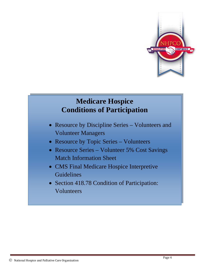

# **Medicare Hospice Conditions of Participation**

- Resource by Discipline Series Volunteers and Volunteer Managers
- Resource by Topic Series Volunteers
- Resource Series Volunteer 5% Cost Savings Match Information Sheet
- CMS Final Medicare Hospice Interpretive Guidelines
- Section 418.78 Condition of Participation: Volunteers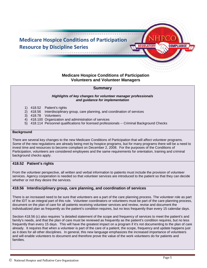

# **Medicare Hospice Conditions of Participation Volunteers and Volunteer Managers**

#### **Summary**

#### *Highlights of key changes for volunteer manager professionals and guidance for implementation*

- 1) 418.52 Patient's rights
- 2) 418.56 Interdisciplinary group, care planning, and coordination of services
- 3) 418.78 Volunteers
- 4) 418.100 Organization and administration of services
- 5) 418.114 Personnel qualifications for licensed professionals -- Criminal Background Checks

#### **Background**

There are several key changes to the new Medicare Conditions of Participation that will affect volunteer programs. Some of the new regulations are already being met by hospice programs, but for many programs there will be a need to invest time and resources to become compliant on December 2, 2008. For the purposes of the Conditions of Participation, volunteers are considered employees and the same requirements for orientation, training and criminal background checks apply.

#### **418.52 Patient's rights**

From the volunteer perspective, all written and verbal information to patients must include the provision of volunteer services. Agency cooperation is needed so that volunteer services are introduced to the patient so that they can decide whether or not they desire the services.

#### **418.56 Interdisciplinary group, care planning, and coordination of services**

There is an increased need to be sure that volunteers are a part of the care planning process. The volunteer role as part of the IDT is an integral part of this rule. Volunteer coordinators or volunteers must be part of the care planning process, document on the plan of care for all patients receiving volunteer services and review, revise and document the individualized plan as frequently as the patient's condition requires, but no less frequently than every 15 calendar days.

Section 418.56 (c) also requires "a detailed statement of the scope and frequency of services to meet the patient's and family's needs, and that the plan of care must be reviewed as frequently as the patient's condition requires, but no less frequently than every 15 days. This will have the greatest impact on a program if it's not documenting to the plan of care already. It requires that when a volunteer is part of the care of a patient, the scope, frequency and update happens just as it does for all other disciplines. In general, this new language emphasizes the increased importance of volunteers and will enable volunteers to document and therefore prove the value of the work volunteers do for patients and families.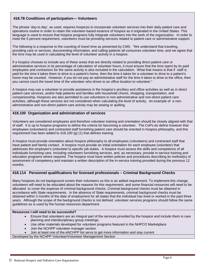# **418.78 Conditions of participation— Volunteers**

The phrase 'day to day', as used, requires hospices to incorporate volunteer services into their daily patient care and operations routine in order to retain the volunteer-based essence of hospice as it originated in the United States. This language is used to ensure that hospice programs fully integrate volunteers into the work of the organization. In order to meet the 5 percent requirement, volunteers must be providing services related to patient care or administrative support.

The following is a response to the counting of travel time as presented by CMS. "We understand that traveling, providing care or services, documenting information, and calling patients all consumes volunteer time, and we agree that the time may be used in calculating the level of volunteer activity in a hospice.

If a hospice chooses to include any of these areas that are directly related to providing direct patient care or administrative services in its percentage of calculation of volunteer hours, it must ensure that the time spent by its paid employees and contractors for the same activity is also included in the calculation. What that means is that if staff is paid for the time it takes them to drive to a patient's home, then the time it takes for a volunteer to drive to a patient's home may be counted. However, if you do not pay an administrative staff for the time it takes to drive to the office, then you cannot count the travel time of the volunteer who drives to an office location to volunteer."

A hospice may use a volunteer to provide assistance in the hospice's ancillary and office activities as well as in direct patient care services, and/or help patients and families with household chores, shopping, transportation, and companionship. Hospices are also permitted to use volunteers in non-administrative and non-direct patient care activities, although these services are not considered when calculating the level of activity. An example of a nonadministrative and non-direct patient care activity may be sewing or quilting.

#### **418.100 Organization and administration of services**

Volunteers are considered employees and therefore volunteer training and orientation should be closely aligned with that of staff. It is up to hospice programs to define the criteria for becoming a volunteer. The CoPs do define however that employees (volunteers) and contracted staff furnishing patient care should be oriented in hospice philosophy, and this requirement has been added to 418.100 (g) (1) that defines training.

A hospice must provide orientation about hospice philosophy to all employees (volunteers) and contracted staff that have patient and family contact. A hospice must provide an initial orientation for each employee (volunteer) that addresses the employee's (volunteer's) specific job duties. A hospice must assess the skills and competence of all individuals furnishing care, including volunteers furnishing services, and, as necessary, provide in-service training and education programs where required. The hospice must have written policies and procedures describing its method(s) of assessment of competency and maintain a written description of the in-service training provided during the previous 12 months.

#### **418.114 Personnel qualifications for licensed professionals – Criminal Background Checks**

Many hospices do not background screen their volunteers so this is an added requirement. To implement this change, volunteers will need to be educated about the reasons for this requirement, and some financial resources will need to be allocated to cover the expense of criminal background checks. Criminal background checks must be obtained in accordance with State requirements. In the absence of State requirements, criminal background checks must be obtained within 3 months of the date of employment for all states that the individual has lived or worked in the past three years. Although the scope of the background checks is not defined, volunteer services programs should follow the same guidelines as is used by the human resources department.

#### **Resources I will need to be successful?**

- Ensure that volunteers are an integral part of the services provided by the hospice and include them in care planning and interdisciplinary group meetings.
- Use other materials developed for volunteer programs featured in the NHPCO Marketplace
- Join the NCHPP volunteer manager section
- Join at least one of the eNCHPP list servs to get more information and stay current

Developed by the NCHPP Volunteer/Volunteer Management Section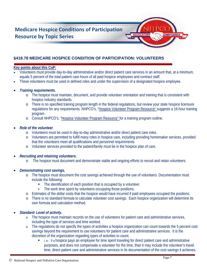

# **§418.78 MEDICARE HOSPICE CONDITION OF PARTICIPATION: VOLUNTEERS**

# **Key points about this CoP:**

- Volunteers must provide day-to-day administrative and/or direct patient care services in an amount that, at a minimum, equals 5 percent of the total patient care hours of all paid hospice employees and contract staff.
- These volunteers must be used in defined roles and under the supervision of a designated hospice employee.
- *Training requirements.*
	- o The hospice must maintain, document, and provide volunteer orientation and training that is consistent with hospice industry standards.
	- o There is no specified training program length in the federal regulations, but review your state hospice licensure regulations for any requirements. NHPCO's, ["Hospice Volunteer Program Resource" s](http://iweb.nhpco.org/iweb/Purchase/ProductDetail.aspx?Product_code=820115)uggests a 16-hour training program.
	- o Consult NHPCO's, ["Hospice Volunteer Program Resource" f](http://iweb.nhpco.org/iweb/Purchase/ProductDetail.aspx?Product_code=820115)or a training program outline.

# • *Role of the volunteer.*

- o Volunteers must be used in day-to-day administrative and/or direct patient care roles.
- o Volunteers are permitted to fulfill many roles in hospice care, including providing homemaker services, provided that the volunteers meet all qualifications and personnel requirements.
- o Volunteer services provided to the patient/family must be in the hospice plan of care.

# • *Recruiting and retaining volunteers.*

o The hospice must document and demonstrate viable and ongoing efforts to recruit and retain volunteers.

# • *Demonstrating cost savings.*

- o The hospice must document the cost savings achieved through the use of volunteers. Documentation must include the following:
	- The identification of each position that is occupied by a volunteer.
	- The work time spent by volunteers occupying those positions.
- o Estimates of the dollar costs that the hospice would have incurred if paid employees occupied the positions.
- o There is no standard formula to calculate volunteer cost savings. Each hospice organization will determine its own formula and calculation method.

### • *Standard: Level of activity.*

- o The hospice must maintain records on the use of volunteers for patient care and administrative services, including the type of services and time worked.
- o The regulations do not specify the types of activities a hospice organization can count towards the 5 percent cost savings beyond the requirement to use volunteers for patient care and administrative services. It is the discretion of the organization regarding types of activities to count.
	- i..e.: If a hospice pays an employee for time spent traveling for direct patient care and administrative purposes, and does not compensate a volunteer for the time, than it may include the volunteer's travel time, direct patient care and administrative services in its documentation of the cost savings it achieves.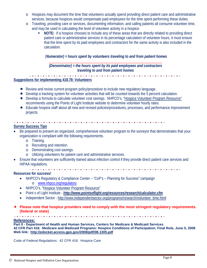- o Hospices may document the time that volunteers actually spend providing direct patient care and administrative services, because hospices would compensate paid employees for the time spent performing these duties.
- o Traveling, providing care or services, documenting information, and calling patients all consume volunteer time, and may be used in calculating the level of volunteer activity in a hospice.
	- **NOTE:** If a hospice chooses to include any of these areas that are directly related to providing direct patient care or administrative services in its percentage calculation of volunteer hours, it must ensure that the time spent by its paid employees and contractors for the same activity is also included in the calculation.

# (*Numerator) = hours spent by volunteers traveling to and from patient homes*

### \_\_\_\_\_\_\_\_\_\_\_\_\_\_\_\_\_\_\_\_\_\_\_\_\_\_\_\_\_\_\_\_\_\_\_\_\_\_\_\_\_\_\_\_\_\_\_\_\_\_\_\_\_\_\_\_\_\_\_\_\_ *(Denominator) = the hours spent by its paid employees and contractors traveling to and from patient homes*

# **Suggestions for implementing 418.78: Volunteers**

- ★ Review and revise current program policy/procedure to include new regulatory language.
- $\bigstar$  Develop a tracking system for volunteer activities that will be counted towards the 5 percent calculation.
- \* Develop a formula to calculate volunteer cost savings. NHPCO's, "Hospice Volunteer Program Resource" recommends using the Points of Light Institute website to determine volunteer hourly rates.
- ★ Educate hospice staff about all new and revised policies/procedures, processes, and performance improvement projects.

#### 

### **Survey Success Tips**

- Be prepared to present an organized, comprehensive volunteer program to the surveyor that demonstrates that your organization is compliant with the following requirements.
	- o Training.
	- o Recruiting and retention.
	- o Demonstrating cost savings.
	- o Utilizing volunteers for patient care and administrative services.
- Ensure that volunteers are sufficiently trained about infection control if they provide direct patient care services and HIPAA regulations.
	-

# **Resources for success!**

- NHPCO's Regulatory & Compliance Center "CoP's Planning for Success" campaign o [www.nhpco.org/regulatory](http://www.nhpco.org/regulatory)
- NHPCO's, ["Hospice Volunteer Program Resource"](http://iweb.nhpco.org/iweb/Purchase/ProductDetail.aspx?Product_code=820115)
- Point s of Light Institute *<http://www.pointsoflight.org/resources/research/calculator.cfm>*
- Independent Sector [http://www.independentsector.org/programs/research/volunteer\\_time.html](http://www.independentsector.org/programs/research/volunteer_time.html)

#### **Please note that hospice providers need to comply with the most stringent regulatory requirements. (federal or state)**

#### **References:**

**Part II - Department of Health and Human Services, Centers for Medicare & Medicaid Services 42 CFR Part 418. Medicare and Medicaid Programs: Hospice Conditions of Participation; Final Rule, June 5, 2008 Web link: <http://edocket.access.gpo.gov/2008/pdf/08-1305.pdf>**

Code of Federal Regulations: 42 CFR 418. Hospice Care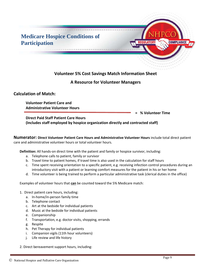

# **Calculation of Match:**

**Volunteer Patient Care and Administrative Volunteer Hours** 

**= % Volunteer Time** 

**Direct Paid Staff Patient Care Hours (Includes staff employed by hospice organization directly and contracted staff)** 

**Numerator: Direct Volunteer Patient Care Hours and Administrative Volunteer Hours** include total direct patient care and administrative volunteer hours or total volunteer hours.

**Definition:** All hands-on direct time with the patient and family or hospice survivor, including:

- a. Telephone calls to patient, family or survivor
- b. Travel time to patient homes, if travel time is also used in the calculation for staff hours
- c. Time spent receiving orientation to a specific patient, e.g. receiving infection control procedures during an introductory visit with a patient or learning comfort measures for the patient in his or her home
- d. Time volunteer is being trained to perform a particular administrative task (clerical duties in the office)

Examples of volunteer hours that **can** be counted toward the 5% Medicare match:

- 1. Direct patient care hours, including:
	- a. In-home/in-person family time
	- b. Telephone contact
	- c. Art at the bedside for individual patients
	- d. Music at the bedside for individual patients
	- e. Companionship
	- f. Transportation, e.g. doctor visits, shopping, errands
	- g. Respite
	- h. Pet Therapy for individual patients
	- i. Companion vigils (11th hour volunteers)
	- j. Life review and life history
- 2. Direct bereavement support hours, including: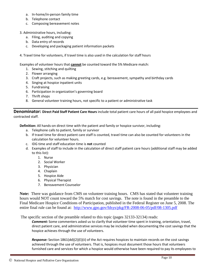- a. In-home/in-person family time
- b. Telephone contact
- c. Composing bereavement notes
- 3. Administrative hours, including:
	- a. Filing, auditing and copying
	- b. Data entry of records
	- c. Developing and packaging patient information packets
- 4. Travel time for volunteers, if travel time is also used in the calculation for staff hours

Examples of volunteer hours that **cannot** be counted toward the 5% Medicare match:

- 1. Sewing, stitching and quilting
- 2. Flower arranging
- 3. Craft projects, such as making greeting cards, e.g. bereavement, sympathy and birthday cards
- 4. Singing at hospice inpatient units
- 5. Fundraising
- 6. Participation in organization's governing board
- 7. Thrift shops
- 8. General volunteer training hours, not specific to a patient or administrative task

**Denominator: Direct Paid Staff Patient Care Hours** include total patient care hours of all paid hospice employees and contracted staff.

**Definition:** All hands-on direct time with the patient and family or hospice survivor, including:

- a. Telephone calls to patient, family or survivor
- b. If travel time for direct patient care staff is counted, travel time can also be counted for volunteers in the calculation for volunteer hours.
- c. IDG time and staff education time is **not** counted
- d. Examples of staff to include in the calculation of direct staff patient care hours (additional staff may be added to this list):
	- 1. Nurse
	- 2. Social Worker
	- 3. Physician
	- 4. Chaplain
	- 5. Hospice Aide
	- 6. Physical Therapist
	- 7. Bereavement Counselor

**Note:** There was guidance from CMS on volunteer training hours. CMS has stated that volunteer training hours would NOT count toward the 5% match for cost savings. The note is found in the preamble to the Final Medicare Hospice Conditions of Participation, published in the Federal Register on June 5, 2008. The entire final rule can be found at: <http://www.gpo.gov/fdsys/pkg/FR-2008-06-05/pdf/08-1305.pdf>

The specific section of the preamble related to this topic (pages 32133-32134) reads:

*Comment:* Some commenters asked us to clarify that volunteer time spent in training, orientation, travel, direct patient care, and administrative services may be included when documenting the cost savings that the hospice achieves through the use of volunteers.

*Response:* Section 1861(dd)(2)(E)(ii) of the Act requires hospices to maintain records on the cost savings achieved through the use of volunteers. That is, hospices must document those hours that volunteers furnished care and services for which a hospice would otherwise have been required to pay its employees to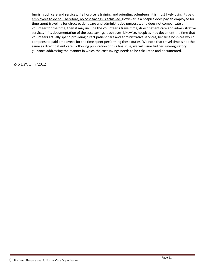furnish such care and services. If a hospice is training and orienting volunteers, it is most likely using its paid employees to do so. Therefore, no cost savings is achieved. However, if a hospice does pay an employee for time spent traveling for direct patient care and administrative purposes, and does not compensate a volunteer for the time, then it may include the volunteer's travel time, direct patient care and administrative services in its documentation of the cost savings it achieves. Likewise, hospices may document the time that volunteers actually spend providing direct patient care and administrative services, because hospices would compensate paid employees for the time spent performing these duties. We note that travel time is not the same as direct patient care. Following publication of this final rule, we will issue further sub-regulatory guidance addressing the manner in which the cost savings needs to be calculated and documented.

© NHPCO: 7/2012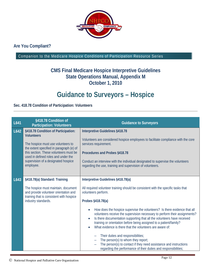

# **Are You Compliant?**

Companion to the Medicare Hospice Conditions of Participation Resource Series

# **CMS Final Medicare Hospice Interpretive Guidelines State Operations Manual, Appendix M October 1, 2010**

# **Guidance to Surveyors – Hospice**

# **Sec. 418.78 Condition of Participation: Volunteers**

| L641 | §418.78 Condition of<br><b>Participation: Volunteers</b>                                                                                                                                                                                                                        | <b>Guidance to Surveyors</b>                                                                                                                                                                                                                                                                                                                                                                                                                                                                                                                                                                                                                                                                                                                                    |  |  |  |
|------|---------------------------------------------------------------------------------------------------------------------------------------------------------------------------------------------------------------------------------------------------------------------------------|-----------------------------------------------------------------------------------------------------------------------------------------------------------------------------------------------------------------------------------------------------------------------------------------------------------------------------------------------------------------------------------------------------------------------------------------------------------------------------------------------------------------------------------------------------------------------------------------------------------------------------------------------------------------------------------------------------------------------------------------------------------------|--|--|--|
| L642 | §418.78 Condition of Participation:<br><b>Volunteers</b><br>The hospice must use volunteers to<br>the extent specified in paragraph (e) of<br>this section. These volunteers must be<br>used in defined roles and under the<br>supervision of a designated hospice<br>employee. | <b>Interpretive Guidelines §418.78</b><br>Volunteers are considered hospice employees to facilitate compliance with the core<br>services requirement.<br>Procedures and Probes §418.78<br>Conduct an interview with the individual designated to supervise the volunteers<br>regarding the use, training and supervision of volunteers.                                                                                                                                                                                                                                                                                                                                                                                                                         |  |  |  |
| L643 | §418.78(a) Standard: Training<br>The hospice must maintain, document<br>and provide volunteer orientation and<br>training that is consistent with hospice<br>industry standards.                                                                                                | Interpretive Guidelines §418.78(a)<br>All required volunteer training should be consistent with the specific tasks that<br>volunteers perform.<br>Probes §418.78(a)<br>How does the hospice supervise the volunteers? Is there evidence that all<br>volunteers receive the supervision necessary to perform their assignments?<br>Is there documentation supporting that all the volunteers have received<br>training or orientation before being assigned to a patient/family?<br>What evidence is there that the volunteers are aware of:<br>Their duties and responsibilities;<br>The person(s) to whom they report;<br>The person(s) to contact if they need assistance and instructions<br>regarding the performance of their duties and responsibilities; |  |  |  |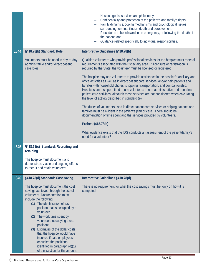|      |                                                                                                                                                                                                                                                                                                                                                                                                                                  | Hospice goals, services and philosophy;<br>Confidentiality and protection of the patient's and family's rights;<br>Family dynamics, coping mechanisms and psychological issues<br>$\overline{\phantom{0}}$<br>surrounding terminal illness, death and bereavement;<br>Procedures to be followed in an emergency, or following the death of<br>the patient; and<br>Guidance related specifically to individual responsibilities.                                                                 |  |  |  |  |  |  |
|------|----------------------------------------------------------------------------------------------------------------------------------------------------------------------------------------------------------------------------------------------------------------------------------------------------------------------------------------------------------------------------------------------------------------------------------|-------------------------------------------------------------------------------------------------------------------------------------------------------------------------------------------------------------------------------------------------------------------------------------------------------------------------------------------------------------------------------------------------------------------------------------------------------------------------------------------------|--|--|--|--|--|--|
| L644 | §418.78(b) Standard: Role                                                                                                                                                                                                                                                                                                                                                                                                        | Interpretive Guidelines §418.78(b)                                                                                                                                                                                                                                                                                                                                                                                                                                                              |  |  |  |  |  |  |
|      | Volunteers must be used in day-to-day<br>administrative and/or direct patient<br>care roles.                                                                                                                                                                                                                                                                                                                                     | Qualified volunteers who provide professional services for the hospice must meet all<br>requirements associated with their specialty area. If licensure or registration is<br>required by the State, the volunteer must be licensed or registered.                                                                                                                                                                                                                                              |  |  |  |  |  |  |
|      |                                                                                                                                                                                                                                                                                                                                                                                                                                  | The hospice may use volunteers to provide assistance in the hospice's ancillary and<br>office activities as well as in direct patient care services, and/or help patients and<br>families with household chores, shopping, transportation, and companionship.<br>Hospices are also permitted to use volunteers in non-administrative and non-direct<br>patient care activities, although these services are not considered when calculating<br>the level of activity described in standard (e). |  |  |  |  |  |  |
|      |                                                                                                                                                                                                                                                                                                                                                                                                                                  | The duties of volunteers used in direct patient care services or helping patients and<br>families must be evident in the patient's plan of care. There should be<br>documentation of time spent and the services provided by volunteers.                                                                                                                                                                                                                                                        |  |  |  |  |  |  |
|      |                                                                                                                                                                                                                                                                                                                                                                                                                                  | Probes §418.78(b)                                                                                                                                                                                                                                                                                                                                                                                                                                                                               |  |  |  |  |  |  |
|      |                                                                                                                                                                                                                                                                                                                                                                                                                                  | What evidence exists that the IDG conducts an assessment of the patient/family's<br>need for a volunteer?                                                                                                                                                                                                                                                                                                                                                                                       |  |  |  |  |  |  |
| L645 | §418.78(c) Standard: Recruiting and<br>retaining                                                                                                                                                                                                                                                                                                                                                                                 |                                                                                                                                                                                                                                                                                                                                                                                                                                                                                                 |  |  |  |  |  |  |
|      | The hospice must document and<br>demonstrate viable and ongoing efforts<br>to recruit and retain volunteers.                                                                                                                                                                                                                                                                                                                     |                                                                                                                                                                                                                                                                                                                                                                                                                                                                                                 |  |  |  |  |  |  |
| L646 | §418.78(d) Standard: Cost saving                                                                                                                                                                                                                                                                                                                                                                                                 | Interpretive Guidelines §418.78(d)                                                                                                                                                                                                                                                                                                                                                                                                                                                              |  |  |  |  |  |  |
|      | The hospice must document the cost<br>savings achieved through the use of<br>volunteers. Documentation must<br>include the following:<br>(1) The identification of each<br>position that is occupied by a<br>volunteer.<br>The work time spent by<br>(2)<br>volunteers occupying those<br>positions.<br>(3) Estimates of the dollar costs<br>that the hospice would have<br>incurred if paid employees<br>occupied the positions | There is no requirement for what the cost savings must be, only on how it is<br>computed.                                                                                                                                                                                                                                                                                                                                                                                                       |  |  |  |  |  |  |
|      | identified in paragraph (d)(1)<br>of this section for the amount                                                                                                                                                                                                                                                                                                                                                                 |                                                                                                                                                                                                                                                                                                                                                                                                                                                                                                 |  |  |  |  |  |  |

Ξ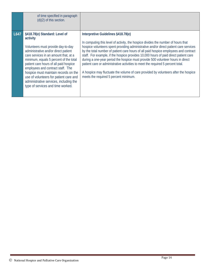|      | of time specified in paragraph<br>(d)(2) of this section.                                                                                                                                                                                                                                                                                                                                                                                                  |                                                                                                                                                                                                                                                                                                                                                                                                                                                                                                                                                                                                                                                                                                        |
|------|------------------------------------------------------------------------------------------------------------------------------------------------------------------------------------------------------------------------------------------------------------------------------------------------------------------------------------------------------------------------------------------------------------------------------------------------------------|--------------------------------------------------------------------------------------------------------------------------------------------------------------------------------------------------------------------------------------------------------------------------------------------------------------------------------------------------------------------------------------------------------------------------------------------------------------------------------------------------------------------------------------------------------------------------------------------------------------------------------------------------------------------------------------------------------|
| L647 | §418.78(e) Standard: Level of<br>activity<br>Volunteers must provide day-to-day<br>administrative and/or direct patient<br>care services in an amount that, at a<br>minimum, equals 5 percent of the total<br>patient care hours of all paid hospice<br>employees and contract staff. The<br>hospice must maintain records on the<br>use of volunteers for patient care and<br>administrative services, including the<br>type of services and time worked. | Interpretive Guidelines §418.78(e)<br>In computing this level of activity, the hospice divides the number of hours that<br>hospice volunteers spent providing administrative and/or direct patient care services<br>by the total number of patient care hours of all paid hospice employees and contract<br>staff. For example, if the hospice provides 10,000 hours of paid direct patient care<br>during a one-year period the hospice must provide 500 volunteer hours in direct<br>patient care or administrative activities to meet the required 5 percent total.<br>A hospice may fluctuate the volume of care provided by volunteers after the hospice<br>meets the required 5 percent minimum. |

÷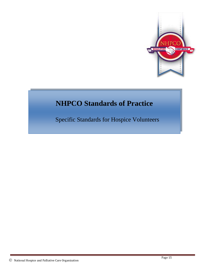

# **NHPCO Standards of Practice**

Specific Standards for Hospice Volunteers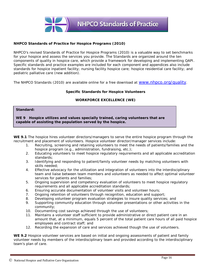

#### **NHPCO Standards of Practice for Hospice Programs (2010)**

NHPCO's revised *Standards of Practice for Hospice Programs* (2010) is a valuable way to set benchmarks for your hospice and assess the services you provide. The Standards are organized around the ten components of quality in hospice care, which provide a framework for developing and implementing QAPI. Specific standards and practice examples are included for each component and appendices also include standards for hospice inpatient facility; nursing facility hospice care; hospice residential care facility; and pediatric palliative care (new addition).

The NHPCO Standards (2010) are available online for a free download at [www.nhpco.org/quality.](http://www.nhpco.org/quality)

#### **Specific Standards for Hospice Volunteers**

#### **WORKFORCE EXCELLENCE (WE)**

#### **Standard:**

**WE 9 Hospice utilizes and values specially trained, caring volunteers that are capable of assisting the population served by the hospice.**

| WE 9.1 The hospice hires volunteer directors/managers to serve the entire hospice program through the |  |  |  |  |  |
|-------------------------------------------------------------------------------------------------------|--|--|--|--|--|
| recruitment and placement of volunteers. Hospice volunteer director/manager services include:         |  |  |  |  |  |

- 1. Recruiting, screening and retaining volunteers to meet the needs of patients/families and the hospice program *(e.g., administration, fundraising, etc.)*;
- 2. Educating volunteers to meet hospice regulatory requirements and all applicable accreditation standards;
- 3. Identifying and responding to patient/family volunteer needs by matching volunteers with skills needed;
- 4. Effective advocacy for the utilization and integration of volunteers into the interdisciplinary team and liaise between team members and volunteers as needed to affect optimal volunteer services for patients and families;
- 5. Ongoing supervision and competency evaluation of volunteers to meet hospice regulatory requirements and all applicable accreditation standards;
- 6. Ensuring accurate documentation of volunteer visits and volunteer hours;
- 7. Ongoing retention of volunteers through recognition, education and support;
- 8. Developing volunteer program evaluation strategies to insure quality services; and
- 9. Supporting community education through volunteer presentations or other activities in the community;
- 10. Documenting cost savings achieved through the use of volunteers;
- 11. Maintains a volunteer staff sufficient to provide administrative or direct patient care in an amount that, at a minimum, equals 5 percent of the total patient care hours of all paid hospice employees and contract staff; and
- 12. Recording the expansion of care and services achieved though the use of volunteers.

**WE 9.2** Hospice volunteer services are based on initial and ongoing assessments of patient and family volunteer needs by members of the interdisciplinary team and provided according to the interdisciplinary team's plan of care.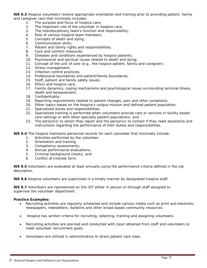**WE 9.3** Hospice volunteers receive appropriate orientation and training prior to providing patient, family and caregiver care that minimally includes:

- 1. The purpose and focus of hospice care;
- 2. The important role of the volunteer in hospice care;
- 3. The interdisciplinary team's function and responsibility;
- 4. Role of various hospice team members;
- 5. Concepts of death and dying;
- 6. Communication skills;
- 7. Patient and family rights and responsibilities;
- 8. Care and comfort measures;
- 9. Diseases and conditions experienced by hospice patients;
- 10. Psychosocial and spiritual issues related to death and dying;
- 11. Concept of the unit of care *(e.g., the hospice patient, family and caregiver)*;
- 12. Stress management;
- 13. Infection control practices;
- 14. Professional boundaries and patient/family boundaries;
- 15. Staff, patient and family safety issues;
- 16. Ethics and hospice care;
- 17. Family dynamics, coping mechanisms and psychological issues surrounding terminal illness, death and bereavement;
- 18. Confidentiality;
- 19. Reporting requirements related to patient changes, pain and other symptoms;
- 20. Other topics based on the hospice's unique mission and defined patient population;
- 21. Specialized duties and responsibilities;
- 22. Specialized training is performed when volunteers provide care or services in facility based care settings or with other specialty patient populations; and
- 23. The person(s) to whom they report and the person(s) to contact if they need assistance and instructions regarding the performance of their duties and responsibilities.

**WE 9.4** The hospice maintains personnel records for each volunteer that minimally include:

- 1. Activities performed by the volunteer;
- 2. Orientation and training;
- 3. Competency assessments;
- 4. Annual performance evaluations;
- 5. Criminal background checks; and
- 6. Conflict of Interest form.

**WE 9.5** Volunteers are evaluated at least annually using the performance criteria defined in the job description.

**WE 9.6** Hospice volunteers are supervised in a timely manner by designated hospice staff.

**WE 9.7** Volunteers are represented on the IDT either in person or through staff assigned to supervise the volunteer department.

#### **Practice Examples:**

- Recruiting activities are regularly scheduled and include various media such as print and electronic newspapers, newsletters, bulletins and other broad-based community resources.
- Hospice has written criteria for recruiting, selecting, training and assigning volunteers.
- Recruiting activities are planned and conducted with input obtained from staff and volunteers to meet volunteer recruitment goals.
- Volunteers are utilized in administrative or direct patient care roles.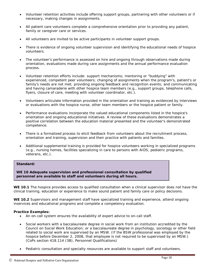- Volunteer retention activities include offering support groups, partnering with other volunteers or if necessary, making changes in assignments.
- All patient care volunteers complete a comprehensive orientation prior to providing any patient, family or caregiver care or services.
- All volunteers are invited to be active participants in volunteer support groups.
- There is evidence of ongoing volunteer supervision and identifying the educational needs of hospice volunteers.
- The volunteer's performance is assessed on hire and ongoing through observations made during orientation, evaluations made during care assignments and the annual performance evaluation process.
- Volunteer retention efforts include: support mechanisms; mentoring or "buddying" with experienced, competent peer volunteers; changing of assignments when the program's, patient's or family's needs are not met; providing ongoing feedback and recognition events; and communicating and having camaraderie with other hospice team members *(e.g., support groups, telephone calls, flyers, closure of care, meeting with volunteer coordinator, etc.).*
- Volunteers articulate information provided in the orientation and training as evidenced by interviews or evaluations with the hospice nurse, other team members or the hospice patient or family.
- Performance evaluations incorporate the valued educational components listed in the hospice's orientation and ongoing educational initiatives. A review of these evaluations demonstrates a positive correlation between the education material presented and the volunteer's demonstrated competence.
- There is a formalized process to elicit feedback from volunteers about the recruitment process, orientation and training, supervision and their practice with patients and families.
- Additional supplemental training is provided for hospice volunteers working in specialized programs *(e.g., nursing homes, facilities specializing in care to persons with AIDS, pediatric programs, veterans, etc.).*

#### **Standard:**

**(WE) WE 10 Adequate supervision and professional consultation by qualified personnel are available to staff and volunteers during all hours.**

**WE 10.1** The hospice provides access to qualified consultation when a clinical supervisor does not have the clinical training, education or experience to make sound patient and family care or policy decisions.

**WE 10.2** Supervisors and management staff have specialized training and experience, attend ongoing inservices and educational programs and complete a competency evaluation.

#### **Practice Examples:**

- An on-call system ensures the availability of expert advice to on-call staff.
- Social workers with a baccalaureate degree in social work from an institution accredited by the Council on Social Work Education; or a baccalaureate degree in psychology, sociology or other field related to social work are supervised by an MSW. *(If the BSW professional was employed by the hospice before December 2, 2008, that employee is not required to be supervised by an MSW.) (CoPs section 418.114 (3B), Personnel Qualifications)*
- Pediatric consultation and specialty resources are available to support staff and volunteers.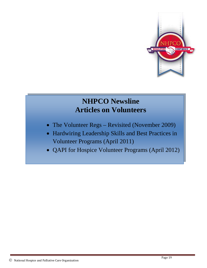

# **NHPCO Newsline Articles on Volunteers**

- The Volunteer Regs Revisited (November 2009)
- Hardwiring Leadership Skills and Best Practices in Volunteer Programs (April 2011)
- QAPI for Hospice Volunteer Programs (April 2012)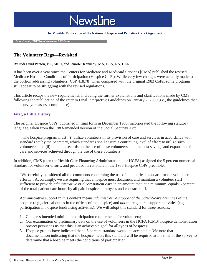

#### **The Monthly Publication of the National Hospice and Palliative Care Organization**

 **Print-friendly PDF From November 2009 Issue**

# **The Volunteer Regs—Revisited**

By Judi Lund Person, BA, MPH, and Jennifer Kennedy, MA, BSN, RN, CLNC

It has been over a year since the Centers for Medicare and Medicaid Services [CMS] published the revised Medicare Hospice Conditions of Participation (Hospice CoPs). While very few changes were actually made to the portion addressing volunteers (CoP 418.78) when compared with the original 1983 CoPs, some programs still appear to be struggling with the revised regulations.

This article recaps the new requirements, including the further explanations and clarifications made by CMS following the publication of the Interim Final Interpretive Guidelines on January 2, 2009 (i.e., the guidelines that help surveyors assess compliance).

# **First, a Little History**

The original Hospice CoPs, published in final form in December 1983, incorporated the following statutory language, taken from the 1983-amended version of the Social Security Act:

"[The hospice program must] (i) utilize volunteers in its provision of care and services in accordance with standards set by the Secretary, which standards shall ensure a continuing level of effort to utilize such volunteers, and (ii) maintain records on the use of these volunteers, and the cost savings and expansion of care and services achieved through the use of these volunteers."

In addition, CMS (then the Health Care Financing Administration—or HCFA) assigned the 5 percent numerical standard for volunteer efforts, and provided its rationale in the 1983 Hospice CoPs preamble:

"We carefully considered all the comments concerning the use of a numerical standard for the volunteer effort…. Accordingly, we are requiring that a hospice must document and maintain a volunteer staff sufficient to provide *administrative* or *direct patient care* in an amount that, at a minimum, equals 5 percent of the total patient care hours by all paid hospice employees and contract staff.

Administrative support in this context means *administrative support of the patient-care activities* of the hospice (e g., clerical duties in the offices of the hospice) and *not* more general support activities (e.g., participation in hospice fundraising activities). We will adopt this standard for three reasons:

- 1. Congress intended minimum participation requirements for volunteers;
- 2. Our examination of preliminary data on the use of volunteers in the HCFA [CMS] hospice demonstration project persuades us that this is an achievable goal for all types of hospices;
- 3. Hospice groups have indicated that a 5 percent standard would be acceptable. We note that documentation indicating that the hospice meets this standard will be required at the time of the survey to determine that a hospice meets the conditions of participation."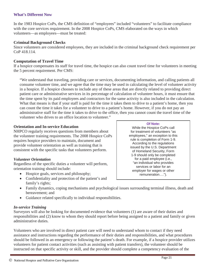# **What's Different Now**

In the 1983 Hospice CoPs, the CMS definition of "employees" included "volunteers" to facilitate compliance with the core services requirement. In the 2008 Hospice CoPs, CMS elaborated on the ways in which volunteers—as employees—must be treated:

# **Criminal Background Checks**

Since volunteers are considered employees, they are included in the criminal background check requirement per CoP 418.114.

### **Computation of Travel Time**

If a hospice compensates its staff for travel time, the hospice can also count travel time for volunteers in meeting the 5 percent requirement. Per CMS:

"We understand that traveling, providing care or services, documenting information, and calling patients all consume volunteer time, and we agree that the time may be used in calculating the level of volunteer activity in a hospice. If a hospice chooses to include any of these areas that are directly related to providing direct patient care or administrative services in its percentage of calculation of volunteer hours, it must ensure that the time spent by its paid employees and contractors for the same activity is also included in the calculation. What that means is that if your staff is paid for the time it takes them to drive to a patient's home, then you can count the time it takes for a volunteer to drive to a patient's home. However, if you do not pay an administrative staff for the time it takes to drive to the office, then you cannot count the travel time of the volunteer who drives to an office location to volunteer."

# **Orientation and In-service Education**

NHPCO regularly receives questions from members about the volunteer training requirements. The 2008 Hospice CoPs requires hospice providers to maintain, document and provide volunteer orientation as well as training that is consistent with the specific tasks that volunteers perform.

# *Volunteer Orientation*

Regardless of the specific duties a volunteer will perform, orientation training should include:

- Hospice goals, services and philosophy;
- Confidentiality and protection of the patient's and family's rights;
- Family dynamics, coping mechanisms and psychological issues surrounding terminal illness, death and bereavement; and
- Guidance related specifically to individual responsibilities.

# *In-service Training*

Surveyors will also be looking for documented evidence that volunteers (1) are aware of their duties and responsibilities and (2) know to whom they should report before being assigned to a patient and family or given administrative duties.

Volunteers who are involved in direct patient care will need to understand whom to contact if they need assistance and instructions regarding the performance of their duties and responsibilities, and what procedures should be followed in an emergency or following the patient's death. For example, if a hospice provider utilizes volunteers for patient contact activities (such as assisting with patient transfers), the volunteer should be instructed on that specific activity or skill, and the provider should complete a competency evaluation of the

National Hospice and Palliative Care Organization

#### **Of Note:**

While the Hospice CoPs call for treatment of volunteers "as employees," an exception to this rule is completion of Form 1-9. According to the regulations issued by the U.S. Department of Homeland Security, Form 1-9 should only be completed for a paid employee (i.e., "an individual who provides services or labor for an employer for wages or other remuneration….").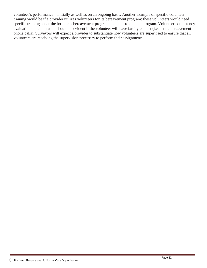volunteer's performance—initially as well as on an ongoing basis. Another example of specific volunteer training would be if a provider utilizes volunteers for its bereavement program: these volunteers would need specific training about the hospice's bereavement program and their role in the program. Volunteer competency evaluation documentation should be evident if the volunteer will have family contact (i.e., make bereavement phone calls). Surveyors will expect a provider to substantiate how volunteers are supervised to ensure that all volunteers are receiving the supervision necessary to perform their assignments.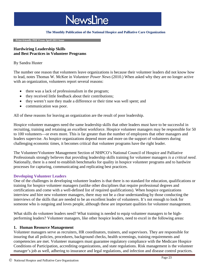# **NewsLine**

#### **The Monthly Publication of the National Hospice and Palliative Care Organization**

 **Print-friendly PDF From April 2011 Issue**

# **Hardwiring Leadership Skills and Best Practices in Volunteer Programs**

### By Sandra Huster

The number one reason that volunteers leave organizations is because their volunteer leaders did not know how to lead, notes Thomas W. McKee in *Volunteer Power News* (2010.) When asked why they are no longer active with an organization, volunteers report several reasons:

- there was a lack of professionalism in the program;
- they received little feedback about their contributions;
- they weren't sure they made a difference or their time was well spent; and
- communication was poor.

All of these reasons for leaving an organization are the result of poor leadership.

Hospice volunteer managers need the same leadership skills that other leaders must have to be successful in recruiting, training and retaining an excellent workforce. Hospice volunteer managers may be responsible for 50 to 100 volunteers—or even more. This is far greater than the number of employees that other managers and leaders supervise. As hospice organizations depend more and more on the support of volunteers during challenging economic times, it becomes critical that volunteer programs have the right leader.

The Volunteer/Volunteer Management Section of NHPCO's National Council of Hospice and Palliative Professionals strongly believes that providing leadership skills training for volunteer managers *is a critical need*. Nationally, there is a need to establish benchmarks for quality in hospice volunteer programs and to hardwire processes for capturing, communicating and replicating best practices.

### **Developing Volunteer Leaders**

One of the challenges in developing volunteer leaders is that there is no standard for education, qualifications or training for hospice volunteer managers (unlike other disciplines that require professional degrees and certifications and come with a well-defined list of required qualifications). When hospice organizations interview and hire new volunteer managers, there may not be a clear understanding by those conducting the interviews of the skills that are needed to be an excellent leader of volunteers. It's not enough to look for someone who is outgoing and loves people, although these are important qualities for volunteer management.

What skills do volunteer leaders need? What training is needed to equip volunteer managers to be highperforming leaders? Volunteer managers, like other hospice leaders, need to excel in the following areas:

# **1. Human Resource Management**

Volunteer managers serve as recruiters, HR coordinators, trainers, and supervisors. They are responsible for insuring that all policies, procedures, background checks, health screenings, training requirements and competencies are met. Volunteer managers must guarantee regulatory compliance with the Medicare Hospice Conditions of Participation, accrediting organizations, and state regulations. Risk management is the volunteer manager's job as well, adhering to insurance and legal regulations, and infection and disease control practices.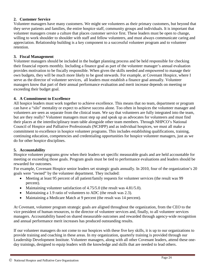# **2. Customer Service**

Volunteer managers have many customers. We might see volunteers as their primary customers, but beyond that they serve patients and families, the entire hospice staff, community groups and individuals. It is important that volunteer managers create a culture that places customer service first. These leaders must be open to change, willing to work shoulder to shoulder with staff and fellow volunteers, and must always communicate caring and appreciation. Relationship building is a key component to a successful volunteer program and to volunteer retention.

# **3. Fiscal Management**

Volunteer managers should be included in the budget planning process and be held responsible for checking their financial reports monthly. Including a finance goal as part of the volunteer manager's annual evaluation provides motivation to be fiscally responsible. When given the skills needed and empowered to manage their own budgets, they will be much more likely to be good stewards. For example, at Covenant Hospice, where I serve as the director of volunteer services, all leaders must establish a finance goal annually. Volunteer managers know that part of their annual performance evaluation and merit increase depends on meeting or exceeding their budget goal.

# **4. A Commitment to Excellence**

All hospice leaders must work together to achieve excellence. This means that no team, department or program can have a "silo" mentality or expect to achieve success alone. Too often in hospices the volunteer manager and volunteers are seen as separate from the clinical team. We say that volunteers are fully integrated into the team, but are they really? Volunteer managers must step up and speak up as advocates for volunteers and must find their places at the interdisciplinary team table alongside other team members. Through NHPCO's National Council of Hospice and Palliative Professionals (NCHPP) and as individual hospices, we must all make a commitment to excellence in hospice volunteer programs. This includes establishing qualifications, training, continuing education, competencies and credentialing opportunities for hospice volunteer managers, just as we do for other hospice disciplines.

### **5. Accountability**

Hospice volunteer programs grow when their leaders set specific measurable goals and are held accountable for meeting or exceeding those goals. Program goals must be tied to performance evaluations and leaders should be rewarded for outcomes.

For example, Covenant Hospice senior leaders set strategic goals annually. In 2010, four of the organization's 20 goals were "owned" by the volunteer department. They included:

- Meeting at least 95 percent of all patient/family requests for volunteer services (the result was 99 percent).
- Maintaining volunteer satisfaction of 4.75/5.0 (the result was 4.81/5.0).
- Maintaining a 1.9 ratio of volunteers to ADC (the result was 2.3).
- Maintaining a Medicare Match at 9 percent (the result was 14 percent).

At Covenant, volunteer program strategic goals are aligned throughout the organization, from the CEO to the vice president of human resources, to the director of volunteer services and, finally, to all volunteer services managers. Accountability based on shared measurable outcomes and rewarded through agency-wide recognition and annual performance merit increases has produced outstanding results.

If our volunteer managers do not come to our hospices with these five key skills, it is up to our organizations to provide training and coaching in these areas. In my organization, quarterly training is provided through our Leadership Development Institute. Volunteer managers, along with all other Covenant leaders, attend these oneday trainings, designed to equip leaders with the knowledge and skills that are needed to lead others.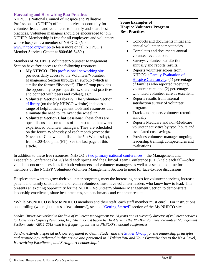# **Harvesting and Hardwiring Best Practices**

NHPCO's National Council of Hospice and Palliative Professionals (NCHPP) offers the perfect opportunity for volunteer leaders and volunteers to identify and share best practices. Volunteer managers should be encouraged to join NCHPP. Membership is free for all employees and volunteers whose hospice is a member of NHPCO. (Visit [www.nhpco.org/nchpp](http://www.nhpco.org/nchpp) to learn more or call NHPCO's Member Services Center at 800/646-6460.)

Members of NCHPP's Volunteer/Volunteer Management Section have free access to the following resources:

- **My.NHPCO:** This [professional networking site](http://my.nhpco.org/NHPCO/NHPCO/Home/default.aspx) provides daily access to the Volunteer/Volunteer Management Section through an eGroup (which is similar the former "listserve"). The eGroup provides the opportunity to post questions, share best practices, and connect with peers and colleagues.\*
- **Volunteer Section eLibrary:** The Volunteer Section [eLibrary](http://my.nhpco.org/NHPCO/NHPCO/eGroups/AllDiscussions/Default.aspx) (on the My.NHPCO website) includes a range of helpful management tools and resources that eliminate the need to "reinvent the wheel."\*
- **Volunteer Section Chat Sessions:** These chats are open discussions on topics of interest to both new and experienced volunteer managers. They are scheduled on the fourth Wednesday of each month (except the November Chat which falls on the 5th Wednesday), from 3:00-4:00 p.m. (ET). See the last page of this article.

# **Some Examples of Hospice Volunteer Program Best Practices**

- Conducts and documents initial and annual volunteer competencies.
- Completes and documents annual volunteer evaluations.
- Surveys volunteer satisfaction annually and reports results.
- Reports volunteer scores from NHPCO's [Family Evaluation of](http://www.nhpco.org/fehc)  [Hospice Care survey:](http://www.nhpco.org/fehc) (1) percentage of families who reported receiving volunteer care, and (2) percentage who rated volunteer care as excellent.
- Reports results from internal satisfaction survey of volunteer program.
- Tracks and reports volunteer retention annually.
- Reports Medicare and non-Medicare volunteer activities by type, hours and associated cost savings.
- Provides volunteer manager ongoing leadership training, competencies and evaluations.

In addition to these free resources, NHPCO's [two primary national conferences—](http://www.nhpco.org/i4a/pages/index.cfm?pageID=6221)the Management and Leadership Conference (MLC) held each spring and the Clinical Team Conference (CTC) held each fall—offer valuable concurrent sessions for both volunteers and volunteer managers as well as a scheduled time for members of the NCHPP Volunteer/Volunteer Management Section to meet for face-to-face discussions.

Hospices that want to grow their volunteer programs, meet the increasing needs for volunteer services, increase patient and family satisfaction, and retain volunteers must have volunteer leaders who know how to lead. This presents an exciting opportunity for the NCHPP Volunteer/Volunteer Management Section to demonstrate leadership excellence, share best practices, set benchmarks and celebrate results!

\*While My.NHPCO is free to NHPCO members and their staff, each staff member must enroll. For instructions on enrolling (which just takes a few minutes!), see the ["Getting Started"](http://my.nhpco.org/NHPCO/NHPCO/GettingStarted/Default.aspx) section of the My.NHPCO site.

*Sandra Huster has worked in the field of volunteer management for 14 years and is currently director of volunteer services for Covenant Hospice (Pensacola, FL). She also just began her first term as the NCHPP Volunteer/Volunteer Management Section leader (2011-2013) and is a frequent presenter at NHPCO's national conferences.* 

*Sandra extends a special acknowledgement to Quint Studer and the [Studer Group](http://www.studergroup.com/) for the leadership principles and terminology reflected in this article and presented in "Taking You and Your Organization to the Next Level, Hardwiring Excellence, and Straight A Leadership."*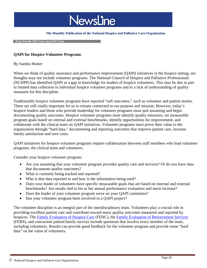

#### **The Monthly Publication of the National Hospice and Palliative Care Organization**

 **Print-friendly PDF From April 2012 Issue**

# **QAPI for Hospice Volunteer Programs**

#### By Sandra Huster

When we think of quality assurance and performance improvement (QAPI) initiatives in the hospice setting, our thoughts may not include volunteer programs. The National Council of Hospice and Palliative Professionals (NCHPP) has identified QAPI as a gap in knowledge for leaders of hospice volunteers. This may be due in part to limited data collection in individual hospice volunteer programs and to a lack of understanding of quality measures for this discipline.

Traditionally hospice volunteer programs have reported "soft outcomes," such as volunteer and patient stories. These are still vitally important for us to remain connected to our purpose and mission. However, today's hospice leaders and those who provide leadership for volunteer programs must quit assuming and begin documenting quality outcomes. Hospice volunteer programs must identify quality measures, set measurable program goals based on internal and external benchmarks, identify opportunities for improvement, and collaborate with the clinical team on QAPI initiatives. Volunteer programs must prove their value to the organization through "hard data," documenting and reporting outcomes that improve patient care, increase family satisfaction and save costs.

QAPI initiatives for hospice volunteer programs require collaboration between staff members who lead volunteer programs, the clinical team and volunteers.

Consider your hospice volunteer program:

- Are you assuming that your volunteer program provides quality care and services? Or do you have data that documents quality outcomes?
- What is currently being tracked and reported?
- Who is that data reported to and how is the information being used?
- Does your leader of volunteers have specific measurable goals that are based on internal and external benchmarks? Are results tied to his or her annual performance evaluation and merit increase?
- Does the leader of your volunteer program serve on your QAPI committee?
- Has your volunteer program been involved in a QAPI project?

The volunteer discipline is an integral part of the interdisciplinary team. Volunteers play a crucial role in providing excellent patient care and contribute toward many quality outcomes measured and reported by hospices. The [Family Evaluation of Hospice Care](http://www.nhpco.org/fehc) (FEHC), the [Family Evaluation of Bereavement Services](http://www.nhpco.org/febs) (FEBS), and concurrent patient/family surveys include questions that involve every member of the team, including volunteers. Results can provide good feedback for the volunteer program and provide some "hard data" on the value of volunteers.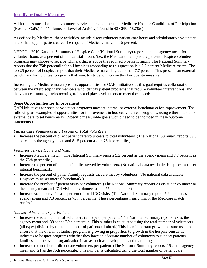# **Identifying Quality Measures**

All hospices must document volunteer service hours that meet the Medicare Hospice Conditions of Participation (Hospice CoPs) for "Volunteers, Level of Activity," found in 42 CFR 418.78(e).

As defined by Medicare, these activities include direct volunteer patient care hours and administrative volunteer hours that support patient care. The required "Medicare match" is 5 percent.

NHPCO's 2010 National Summary of Hospice Care (National Summary) reports that the agency mean for volunteer hours as a percent of clinical staff hours (i.e., the Medicare match) is 5.2 percent. Hospice volunteer programs may choose to set a benchmark that is above the required 5 percent match. The National Summary reports that the 75th percentile for all hospices responding to this question is a 7.7 percent Medicare match. The top 25 percent of hospices report that their Medicare match is greater than 7.7 percent. This presents an external benchmark for volunteer programs that want to strive to improve this key quality measure.

Increasing the Medicare match presents opportunities for QAPI initiatives as this goal requires collaboration between the interdisciplinary members who identify patient problems that require volunteer interventions, and the volunteer manager who recruits, trains and places volunteers to meet these needs.

# **Some Opportunities for Improvement**

QAPI initiatives for hospice volunteer programs may set internal or external benchmarks for improvement. The following are examples of opportunities for improvement in hospice volunteer programs, using either internal or external data to set benchmarks. (Specific measurable goals would need to be included in these outcome statements.)

# *Patient Care Volunteers as a Percent of Total Volunteers*

• Increase the percent of direct patient care volunteers to total volunteers. (The National Summary reports 59.3 percent as the agency mean and 81.5 percent as the 75th percentile.)

# *Volunteer Service Hours and Visits*

- Increase Medicare match. (The National Summary reports 5.2 percent as the agency mean and 7.7 percent as the 75th percentile.)
- Increase the percent of patients/families served by volunteers. (No national data available. Hospices must set internal benchmark.)
- Increase the percent of patient/family requests that are met by volunteers. (No national data available. Hospices must set internal benchmark.)
- Increase the number of patient visits per volunteer. (The National Summary reports 20 visits per volunteer as the agency mean and 27.4 visits per volunteer as the 75th percentile.)
- Increase volunteer visits as a percent of total IDG visits. (The National Summary reports 5.2 percent as agency mean and 7.3 percent as 75th percentile. These percentages nearly mirror the Medicare match results.)

# *Number of Volunteers per Patient*

- Increase the total number of volunteers (all types) per patient. (The National Summary reports .29 as the agency mean and .38 as the 75th percentile. This number is calculated using the total number of volunteers (all types) divided by the total number of patients admitted.) This is an important growth measure used to ensure that the overall volunteer program is growing in proportion to growth in the hospice census. It indicates to hospice programs whether they have an adequate number of volunteers to support patients, families and the overall organization in areas such as development and marketing.
- Increase the number of direct care volunteers per patient. (The National Summary reports .15 as the agency mean and .21 as the 75th percentile. This number is calculated using the total number of patient care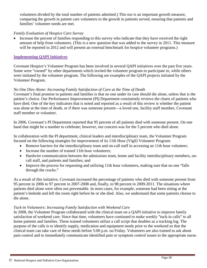volunteers divided by the total number of patients admitted.) This too is an important growth measure, comparing the growth in patient care volunteers to the growth in patients served, ensuring that patients and families' volunteer needs are met.

# *Family Evaluation of Hospice Care Survey*

• Increase the percent of families responding to this survey who indicate that they have received the right amount of help from volunteers. (This is a new question that was added to the survey in 2011. This measure will be reported in 2012 and will present an external benchmark for hospice volunteer programs.)

# **Implementing QAPI Initiatives**

Covenant Hospice's Volunteer Program has been involved in several QAPI initiatives over the past five years. Some were "owned" by other departments which invited the volunteer program to participate in, while others were initiated by the volunteer program. The following are examples of the QAPI projects initiated by the Volunteer Program.

# *No One Dies Alone: Increasing Family Satisfaction of Care at the Time of Death*

Covenant's final promise to patients and families is that no one under its care should die alone, unless that is the patient's choice. Our Performance Improvement (PI) Department consistently reviews the charts of patients who have died. One of the key indicators that is noted and reported as a result of this review is whether the patient was alone at the time of death, or if there was someone present—a loved one, facility staff member, Covenant staff member or volunteer.

In 2006, Covenant's PI Department reported that 95 percent of all patients died with someone present. On one hand that might be a number to celebrate; however, our concern was for the 5 percent who died alone.

In collaboration with the PI department, clinical leaders and interdisciplinary team, the Volunteer Program focused on the following strategies for improvement of its 11th Hour (Vigil) Volunteer Program:

- Remove barriers for the interdisciplinary team and on-call staff in accessing an 11th hour volunteer;
- Increase the number of trained 11th hour volunteers;
- Hardwire communication between the admissions team, home and facility interdisciplinary members, oncall staff, and patients and families; and
- Improve the process for requesting and utilizing 11th hour volunteers, making sure that no one "falls" through the cracks."

As a result of this initiative, Covenant increased the percentage of patients who died with someone present from 95 percent in 2006 to 97 percent in 2007-2008 and, finally, to 98 percent in 2009-2011. The situations where patients died alone were often not preventable. In most cases, for example, someone had been sitting at the patient's bedside and left the room right before he or she died. Also, we understand that some patients choose to die alone.

# *Tuck-in Volunteers: Increasing Family Satisfaction with Weekend Care*

In 2008, the Volunteer Program collaborated with the clinical team on a QAPI initiative to improve family satisfaction of weekend care. Since that time, volunteers have continued to make weekly "tuck-in calls" to all home patients and families. These trained volunteers utilize a call script that doubles as a tracking log. The purpose of the calls is to identify supply, medication and equipment needs prior to the weekend so that the clinical team can take care of these needs before 5:00 p.m. on Friday. Volunteers are also trained to ask about pain control and to immediately communicate identified pain or symptom control issues to the appropriate nurse.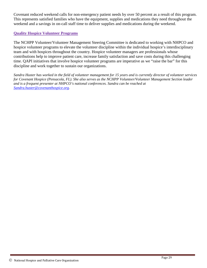Covenant reduced weekend calls for non-emergency patient needs by over 50 percent as a result of this program. This represents satisfied families who have the equipment, supplies and medications they need throughout the weekend and a savings in on-call staff time to deliver supplies and medications during the weekend.

# **Quality Hospice Volunteer Programs**

The NCHPP Volunteer/Volunteer Management Steering Committee is dedicated to working with NHPCO and hospice volunteer programs to elevate the volunteer discipline within the individual hospice's interdisciplinary team and with hospices throughout the country. Hospice volunteer managers are professionals whose contributions help to improve patient care, increase family satisfaction and save costs during this challenging time. QAPI initiatives that involve hospice volunteer programs are imperative as we "raise the bar" for this discipline and work together to sustain our organizations.

*Sandra Huster has worked in the field of volunteer management for 15 years and is currently director of volunteer services for Covenant Hospice (Pensacola, FL). She also serves as the NCHPP Volunteer/Volunteer Management Section leader and is a frequent presenter at NHPCO's national conferences. Sandra can be reached at [Sandra.huster@covenanthospice.org.](mailto:Sandra.huster@covenanthospice.org)*